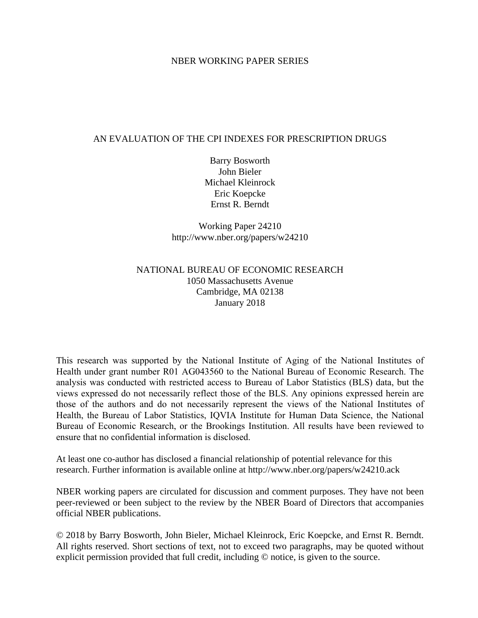# NBER WORKING PAPER SERIES

# AN EVALUATION OF THE CPI INDEXES FOR PRESCRIPTION DRUGS

Barry Bosworth John Bieler Michael Kleinrock Eric Koepcke Ernst R. Berndt

Working Paper 24210 http://www.nber.org/papers/w24210

# NATIONAL BUREAU OF ECONOMIC RESEARCH 1050 Massachusetts Avenue Cambridge, MA 02138 January 2018

This research was supported by the National Institute of Aging of the National Institutes of Health under grant number R01 AG043560 to the National Bureau of Economic Research. The analysis was conducted with restricted access to Bureau of Labor Statistics (BLS) data, but the views expressed do not necessarily reflect those of the BLS. Any opinions expressed herein are those of the authors and do not necessarily represent the views of the National Institutes of Health, the Bureau of Labor Statistics, IQVIA Institute for Human Data Science, the National Bureau of Economic Research, or the Brookings Institution. All results have been reviewed to ensure that no confidential information is disclosed.

At least one co-author has disclosed a financial relationship of potential relevance for this research. Further information is available online at http://www.nber.org/papers/w24210.ack

NBER working papers are circulated for discussion and comment purposes. They have not been peer-reviewed or been subject to the review by the NBER Board of Directors that accompanies official NBER publications.

© 2018 by Barry Bosworth, John Bieler, Michael Kleinrock, Eric Koepcke, and Ernst R. Berndt. All rights reserved. Short sections of text, not to exceed two paragraphs, may be quoted without explicit permission provided that full credit, including © notice, is given to the source.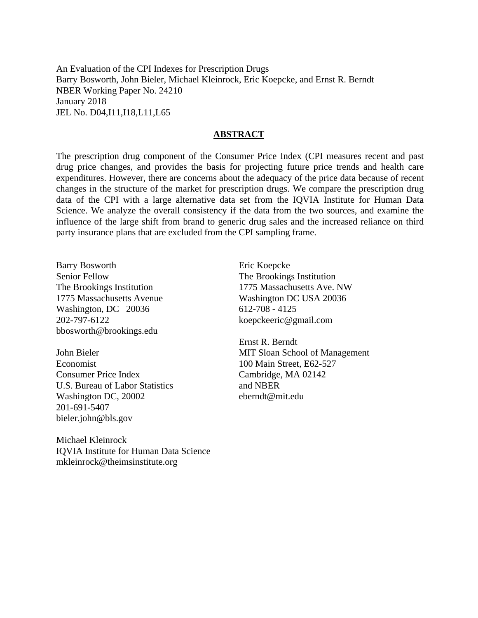An Evaluation of the CPI Indexes for Prescription Drugs Barry Bosworth, John Bieler, Michael Kleinrock, Eric Koepcke, and Ernst R. Berndt NBER Working Paper No. 24210 January 2018 JEL No. D04,I11,I18,L11,L65

## **ABSTRACT**

The prescription drug component of the Consumer Price Index (CPI measures recent and past drug price changes, and provides the basis for projecting future price trends and health care expenditures. However, there are concerns about the adequacy of the price data because of recent changes in the structure of the market for prescription drugs. We compare the prescription drug data of the CPI with a large alternative data set from the IQVIA Institute for Human Data Science. We analyze the overall consistency if the data from the two sources, and examine the influence of the large shift from brand to generic drug sales and the increased reliance on third party insurance plans that are excluded from the CPI sampling frame.

Barry Bosworth Senior Fellow The Brookings Institution 1775 Massachusetts Avenue Washington, DC 20036 202-797-6122 bbosworth@brookings.edu

John Bieler Economist Consumer Price Index U.S. Bureau of Labor Statistics Washington DC, 20002 201-691-5407 bieler.john@bls.gov

Michael Kleinrock IQVIA Institute for Human Data Science mkleinrock@theimsinstitute.org

Eric Koepcke The Brookings Institution 1775 Massachusetts Ave. NW Washington DC USA 20036 612-708 - 4125 koepckeeric@gmail.com

Ernst R. Berndt MIT Sloan School of Management 100 Main Street, E62-527 Cambridge, MA 02142 and NBER eberndt@mit.edu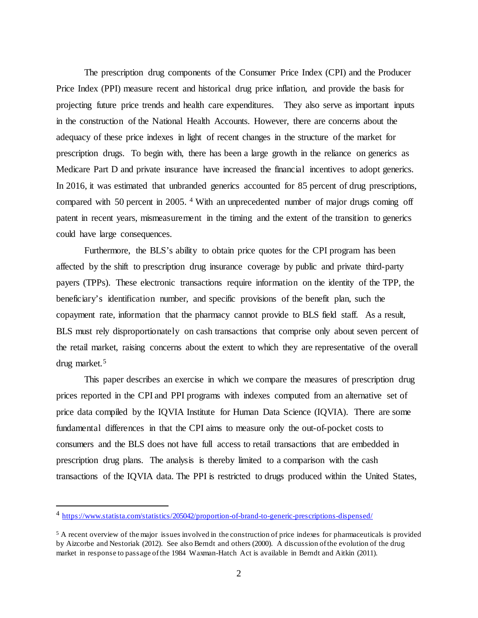The prescription drug components of the Consumer Price Index (CPI) and the Producer Price Index (PPI) measure recent and historical drug price inflation, and provide the basis for projecting future price trends and health care expenditures. They also serve as important inputs in the construction of the National Health Accounts. However, there are concerns about the adequacy of these price indexes in light of recent changes in the structure of the market for prescription drugs. To begin with, there has been a large growth in the reliance on generics as Medicare Part D and private insurance have increased the financial incentives to adopt generics. In 2016, it was estimated that unbranded generics accounted for 85 percent of drug prescriptions, compared with 50 percent in 2005. [4](#page-2-0) With an unprecedented number of major drugs coming off patent in recent years, mismeasurement in the timing and the extent of the transition to generics could have large consequences.

Furthermore, the BLS's ability to obtain price quotes for the CPI program has been affected by the shift to prescription drug insurance coverage by public and private third-party payers (TPPs). These electronic transactions require information on the identity of the TPP, the beneficiary's identification number, and specific provisions of the benefit plan, such the copayment rate, information that the pharmacy cannot provide to BLS field staff. As a result, BLS must rely disproportionately on cash transactions that comprise only about seven percent of the retail market, raising concerns about the extent to which they are representative of the overall drug market.[5](#page-2-1)

This paper describes an exercise in which we compare the measures of prescription drug prices reported in the CPI and PPI programs with indexes computed from an alternative set of price data compiled by the IQVIA Institute for Human Data Science (IQVIA). There are some fundamental differences in that the CPI aims to measure only the out-of-pocket costs to consumers and the BLS does not have full access to retail transactions that are embedded in prescription drug plans. The analysis is thereby limited to a comparison with the cash transactions of the IQVIA data. The PPI is restricted to drugs produced within the United States,

<span id="page-2-0"></span> <sup>4</sup> <https://www.statista.com/statistics/205042/proportion-of-brand-to-generic-prescriptions-dispensed/>

<span id="page-2-1"></span><sup>&</sup>lt;sup>5</sup> A recent overview of the major issues involved in the construction of price indexes for pharmaceuticals is provided by Aizcorbe and Nestoriak (2012). See also Berndt and others (2000). A discussion of the evolution of the drug market in response to passage of the 1984 Waxman-Hatch Act is available in Berndt and Aitkin (2011).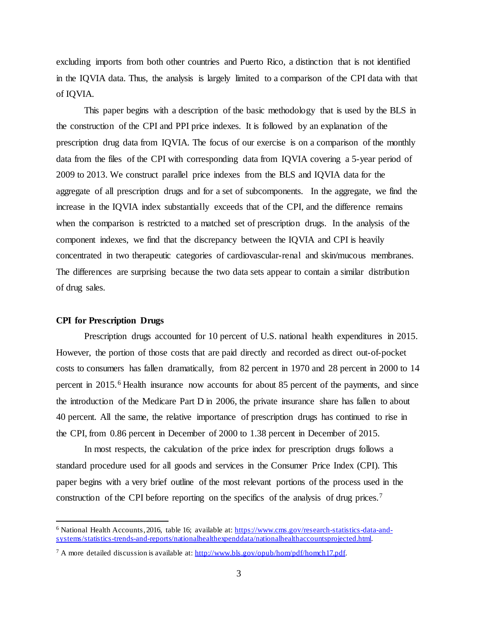excluding imports from both other countries and Puerto Rico, a distinction that is not identified in the IQVIA data. Thus, the analysis is largely limited to a comparison of the CPI data with that of IQVIA.

This paper begins with a description of the basic methodology that is used by the BLS in the construction of the CPI and PPI price indexes. It is followed by an explanation of the prescription drug data from IQVIA. The focus of our exercise is on a comparison of the monthly data from the files of the CPI with corresponding data from IQVIA covering a 5-year period of 2009 to 2013. We construct parallel price indexes from the BLS and IQVIA data for the aggregate of all prescription drugs and for a set of subcomponents. In the aggregate, we find the increase in the IQVIA index substantially exceeds that of the CPI, and the difference remains when the comparison is restricted to a matched set of prescription drugs. In the analysis of the component indexes, we find that the discrepancy between the IQVIA and CPI is heavily concentrated in two therapeutic categories of cardiovascular-renal and skin/mucous membranes. The differences are surprising because the two data sets appear to contain a similar distribution of drug sales.

#### **CPI for Prescription Drugs**

Prescription drugs accounted for 10 percent of U.S. national health expenditures in 2015. However, the portion of those costs that are paid directly and recorded as direct out-of-pocket costs to consumers has fallen dramatically, from 82 percent in 1970 and 28 percent in 2000 to 14 percent in 2015.[6](#page-3-0) Health insurance now accounts for about 85 percent of the payments, and since the introduction of the Medicare Part D in 2006, the private insurance share has fallen to about 40 percent. All the same, the relative importance of prescription drugs has continued to rise in the CPI, from 0.86 percent in December of 2000 to 1.38 percent in December of 2015.

In most respects, the calculation of the price index for prescription drugs follows a standard procedure used for all goods and services in the Consumer Price Index (CPI). This paper begins with a very brief outline of the most relevant portions of the process used in the construction of the CPI before reporting on the specifics of the analysis of drug prices.<sup>[7](#page-3-1)</sup>

<span id="page-3-0"></span> <sup>6</sup> National Health Accounts, 2016, table 16; available at[: https://www.cms.gov/research-statistics-data-and](https://www.cms.gov/research-statistics-data-and-systems/statistics-trends-and-reports/nationalhealthexpenddata/nationalhealthaccountsprojected.html)[systems/statistics-trends-and-reports/nationalhealthexpenddata/nationalhealthaccountsprojected.html.](https://www.cms.gov/research-statistics-data-and-systems/statistics-trends-and-reports/nationalhealthexpenddata/nationalhealthaccountsprojected.html)

<span id="page-3-1"></span><sup>7</sup> A more detailed discussion is available at[: http://www.bls.gov/opub/hom/pdf/homch17.pdf.](http://www.bls.gov/opub/hom/pdf/homch17.pdf)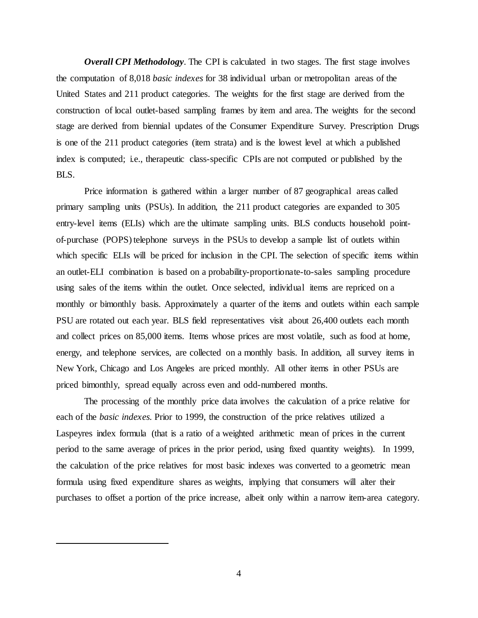*Overall CPI Methodology.* The CPI is calculated in two stages. The first stage involves the computation of 8,018 *basic indexes* for 38 individual urban or metropolitan areas of the United States and 211 product categories. The weights for the first stage are derived from the construction of local outlet-based sampling frames by item and area. The weights for the second stage are derived from biennial updates of the Consumer Expenditure Survey. Prescription Drugs is one of the 211 product categories (item strata) and is the lowest level at which a published index is computed; i.e., therapeutic class-specific CPIs are not computed or published by the BLS.

Price information is gathered within a larger number of 87 geographical areas called primary sampling units (PSUs). In addition, the 211 product categories are expanded to 305 entry-level items (ELIs) which are the ultimate sampling units. BLS conducts household pointof-purchase (POPS) telephone surveys in the PSUs to develop a sample list of outlets within which specific ELIs will be priced for inclusion in the CPI. The selection of specific items within an outlet-ELI combination is based on a probability-proportionate-to-sales sampling procedure using sales of the items within the outlet. Once selected, individual items are repriced on a monthly or bimonthly basis. Approximately a quarter of the items and outlets within each sample PSU are rotated out each year. BLS field representatives visit about 26,400 outlets each month and collect prices on 85,000 items. Items whose prices are most volatile, such as food at home, energy, and telephone services, are collected on a monthly basis. In addition, all survey items in New York, Chicago and Los Angeles are priced monthly. All other items in other PSUs are priced bimonthly, spread equally across even and odd-numbered months.

The processing of the monthly price data involves the calculation of a price relative for each of the *basic indexes.* Prior to 1999, the construction of the price relatives utilized a Laspeyres index formula (that is a ratio of a weighted arithmetic mean of prices in the current period to the same average of prices in the prior period, using fixed quantity weights). In 1999, the calculation of the price relatives for most basic indexes was converted to a geometric mean formula using fixed expenditure shares as weights, implying that consumers will alter their purchases to offset a portion of the price increase, albeit only within a narrow item-area category.

4

 $\overline{a}$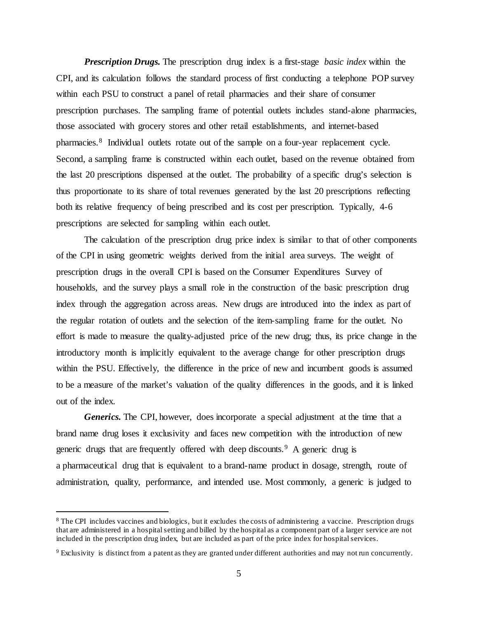*Prescription Drugs.* The prescription drug index is a first-stage *basic index* within the CPI, and its calculation follows the standard process of first conducting a telephone POP survey within each PSU to construct a panel of retail pharmacies and their share of consumer prescription purchases. The sampling frame of potential outlets includes stand-alone pharmacies, those associated with grocery stores and other retail establishments, and internet-based pharmacies.<sup>[8](#page-5-0)</sup> Individual outlets rotate out of the sample on a four-year replacement cycle. Second, a sampling frame is constructed within each outlet, based on the revenue obtained from the last 20 prescriptions dispensed at the outlet. The probability of a specific drug's selection is thus proportionate to its share of total revenues generated by the last 20 prescriptions reflecting both its relative frequency of being prescribed and its cost per prescription. Typically, 4-6 prescriptions are selected for sampling within each outlet.

The calculation of the prescription drug price index is similar to that of other components of the CPI in using geometric weights derived from the initial area surveys. The weight of prescription drugs in the overall CPI is based on the Consumer Expenditures Survey of households, and the survey plays a small role in the construction of the basic prescription drug index through the aggregation across areas. New drugs are introduced into the index as part of the regular rotation of outlets and the selection of the item-sampling frame for the outlet. No effort is made to measure the quality-adjusted price of the new drug; thus, its price change in the introductory month is implicitly equivalent to the average change for other prescription drugs within the PSU. Effectively, the difference in the price of new and incumbent goods is assumed to be a measure of the market's valuation of the quality differences in the goods, and it is linked out of the index.

*Generics.* The CPI, however, does incorporate a special adjustment at the time that a brand name drug loses it exclusivity and faces new competition with the introduction of new generic drugs that are frequently offered with deep discounts.[9](#page-5-1) A generic drug is a pharmaceutical drug that is equivalent to a brand-name product in dosage, strength, route of administration, quality, performance, and intended use. Most commonly, a generic is judged to

<span id="page-5-0"></span><sup>&</sup>lt;sup>8</sup> The CPI includes vaccines and biologics, but it excludes the costs of administering a vaccine. Prescription drugs that are administered in a hospital setting and billed by the hospital as a component part of a larger service are not included in the prescription drug index, but are included as part of the price index for hospital services.

<span id="page-5-1"></span><sup>9</sup> Exclusivity is distinct from a patent as they are granted under different authorities and may not run concurrently.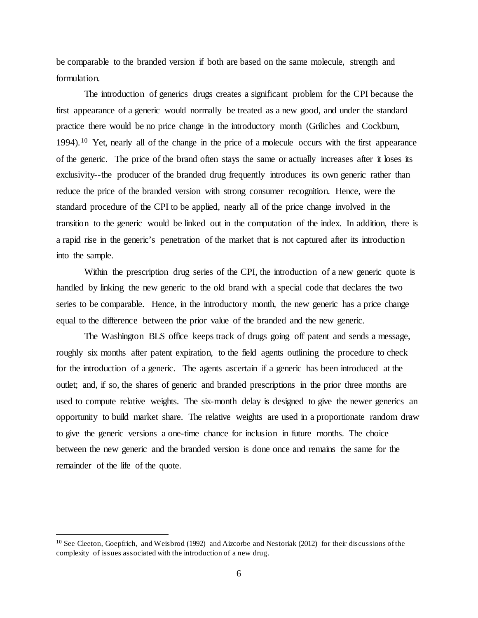be comparable to the branded version if both are based on the same molecule, strength and formulation.

The introduction of generics drugs creates a significant problem for the CPI because the first appearance of a generic would normally be treated as a new good, and under the standard practice there would be no price change in the introductory month (Griliches and Cockburn, 1994).<sup>[10](#page-6-0)</sup> Yet, nearly all of the change in the price of a molecule occurs with the first appearance of the generic. The price of the brand often stays the same or actually increases after it loses its exclusivity--the producer of the branded drug frequently introduces its own generic rather than reduce the price of the branded version with strong consumer recognition. Hence, were the standard procedure of the CPI to be applied, nearly all of the price change involved in the transition to the generic would be linked out in the computation of the index. In addition, there is a rapid rise in the generic's penetration of the market that is not captured after its introduction into the sample.

Within the prescription drug series of the CPI, the introduction of a new generic quote is handled by linking the new generic to the old brand with a special code that declares the two series to be comparable. Hence, in the introductory month, the new generic has a price change equal to the difference between the prior value of the branded and the new generic.

The Washington BLS office keeps track of drugs going off patent and sends a message, roughly six months after patent expiration, to the field agents outlining the procedure to check for the introduction of a generic. The agents ascertain if a generic has been introduced at the outlet; and, if so, the shares of generic and branded prescriptions in the prior three months are used to compute relative weights. The six-month delay is designed to give the newer generics an opportunity to build market share. The relative weights are used in a proportionate random draw to give the generic versions a one-time chance for inclusion in future months. The choice between the new generic and the branded version is done once and remains the same for the remainder of the life of the quote.

<span id="page-6-0"></span><sup>&</sup>lt;sup>10</sup> See Cleeton, Goepfrich, and Weisbrod (1992) and Aizcorbe and Nestoriak (2012) for their discussions of the complexity of issues associated with the introduction of a new drug.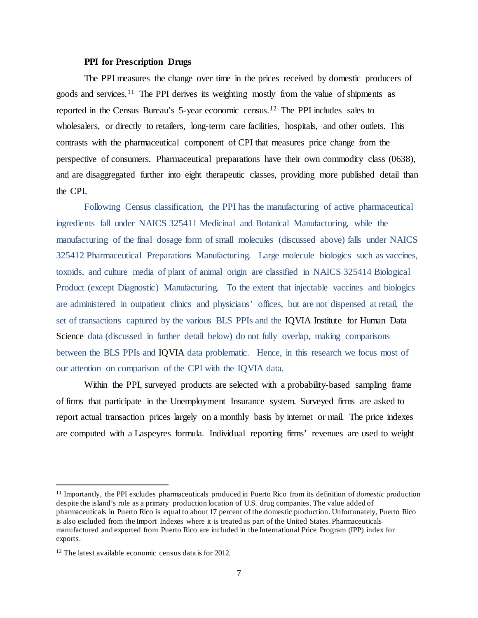### **PPI for Prescription Drugs**

The PPI measures the change over time in the prices received by domestic producers of goods and services.<sup>[11](#page-7-0)</sup> The PPI derives its weighting mostly from the value of shipments as reported in the Census Bureau's 5-year economic census.[12](#page-7-1) The PPI includes sales to wholesalers, or directly to retailers, long-term care facilities, hospitals, and other outlets. This contrasts with the pharmaceutical component of CPI that measures price change from the perspective of consumers. Pharmaceutical preparations have their own commodity class (0638), and are disaggregated further into eight therapeutic classes, providing more published detail than the CPI.

Following Census classification, the PPI has the manufacturing of active pharmaceutical ingredients fall under NAICS 325411 Medicinal and Botanical Manufacturing, while the manufacturing of the final dosage form of small molecules (discussed above) falls under NAICS 325412 Pharmaceutical Preparations Manufacturing. Large molecule biologics such as vaccines, toxoids, and culture media of plant of animal origin are classified in NAICS 325414 Biological Product (except Diagnostic) Manufacturing. To the extent that injectable vaccines and biologics are administered in outpatient clinics and physicians' offices, but are not dispensed at retail, the set of transactions captured by the various BLS PPIs and the IQVIA Institute for Human Data Science data (discussed in further detail below) do not fully overlap, making comparisons between the BLS PPIs and IQVIA data problematic. Hence, in this research we focus most of our attention on comparison of the CPI with the IQVIA data.

Within the PPI, surveyed products are selected with a probability-based sampling frame of firms that participate in the Unemployment Insurance system. Surveyed firms are asked to report actual transaction prices largely on a monthly basis by internet or mail. The price indexes are computed with a Laspeyres formula. Individual reporting firms' revenues are used to weight

<span id="page-7-0"></span> <sup>11</sup> Importantly, the PPI excludes pharmaceuticals produced in Puerto Rico from its definition of *domestic* production despite the island's role as a primary production location of U.S. drug companies. The value added of pharmaceuticals in Puerto Rico is equal to about 17 percent of the domestic production. Unfortunately, Puerto Rico is also excluded from the Import Indexes where it is treated as part of the United States.Pharmaceuticals manufactured and exported from Puerto Rico are included in the International Price Program (IPP) index for exports.

<span id="page-7-1"></span><sup>12</sup> The latest available economic census data is for 2012.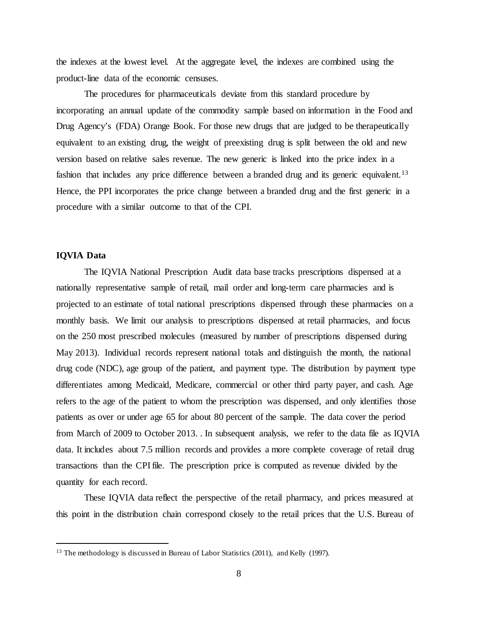the indexes at the lowest level. At the aggregate level, the indexes are combined using the product-line data of the economic censuses.

The procedures for pharmaceuticals deviate from this standard procedure by incorporating an annual update of the commodity sample based on information in the Food and Drug Agency's (FDA) Orange Book. For those new drugs that are judged to be therapeutically equivalent to an existing drug, the weight of preexisting drug is split between the old and new version based on relative sales revenue. The new generic is linked into the price index in a fashion that includes any price difference between a branded drug and its generic equivalent.<sup>[13](#page-8-0)</sup> Hence, the PPI incorporates the price change between a branded drug and the first generic in a procedure with a similar outcome to that of the CPI.

# **IQVIA Data**

The IQVIA National Prescription Audit data base tracks prescriptions dispensed at a nationally representative sample of retail, mail order and long-term care pharmacies and is projected to an estimate of total national prescriptions dispensed through these pharmacies on a monthly basis. We limit our analysis to prescriptions dispensed at retail pharmacies, and focus on the 250 most prescribed molecules (measured by number of prescriptions dispensed during May 2013). Individual records represent national totals and distinguish the month, the national drug code (NDC), age group of the patient, and payment type. The distribution by payment type differentiates among Medicaid, Medicare, commercial or other third party payer, and cash. Age refers to the age of the patient to whom the prescription was dispensed, and only identifies those patients as over or under age 65 for about 80 percent of the sample. The data cover the period from March of 2009 to October 2013. . In subsequent analysis, we refer to the data file as IQVIA data. It includes about 7.5 million records and provides a more complete coverage of retail drug transactions than the CPIfile. The prescription price is computed as revenue divided by the quantity for each record.

These IQVIA data reflect the perspective of the retail pharmacy, and prices measured at this point in the distribution chain correspond closely to the retail prices that the U.S. Bureau of

<span id="page-8-0"></span><sup>&</sup>lt;sup>13</sup> The methodology is discussed in Bureau of Labor Statistics (2011), and Kelly (1997).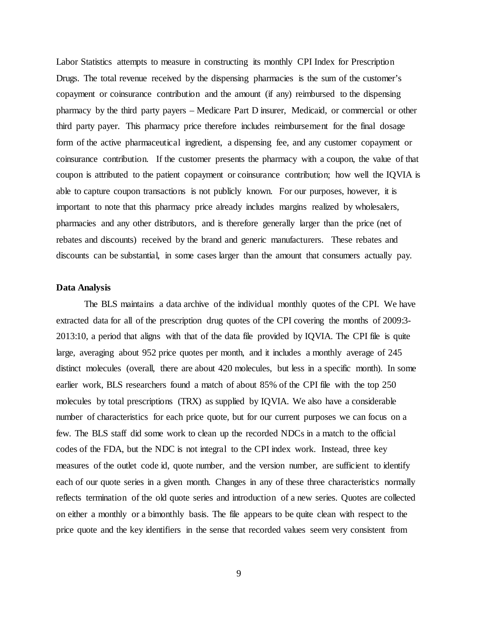Labor Statistics attempts to measure in constructing its monthly CPI Index for Prescription Drugs. The total revenue received by the dispensing pharmacies is the sum of the customer's copayment or coinsurance contribution and the amount (if any) reimbursed to the dispensing pharmacy by the third party payers – Medicare Part D insurer, Medicaid, or commercial or other third party payer. This pharmacy price therefore includes reimbursement for the final dosage form of the active pharmaceutical ingredient, a dispensing fee, and any customer copayment or coinsurance contribution. If the customer presents the pharmacy with a coupon, the value of that coupon is attributed to the patient copayment or coinsurance contribution; how well the IQVIA is able to capture coupon transactions is not publicly known. For our purposes, however, it is important to note that this pharmacy price already includes margins realized by wholesalers, pharmacies and any other distributors, and is therefore generally larger than the price (net of rebates and discounts) received by the brand and generic manufacturers. These rebates and discounts can be substantial, in some cases larger than the amount that consumers actually pay.

### **Data Analysis**

The BLS maintains a data archive of the individual monthly quotes of the CPI. We have extracted data for all of the prescription drug quotes of the CPI covering the months of 2009:3- 2013:10, a period that aligns with that of the data file provided by IQVIA. The CPI file is quite large, averaging about 952 price quotes per month, and it includes a monthly average of 245 distinct molecules (overall, there are about 420 molecules, but less in a specific month). In some earlier work, BLS researchers found a match of about 85% of the CPI file with the top 250 molecules by total prescriptions (TRX) as supplied by IQVIA. We also have a considerable number of characteristics for each price quote, but for our current purposes we can focus on a few. The BLS staff did some work to clean up the recorded NDCs in a match to the official codes of the FDA, but the NDC is not integral to the CPI index work. Instead, three key measures of the outlet code id, quote number, and the version number, are sufficient to identify each of our quote series in a given month. Changes in any of these three characteristics normally reflects termination of the old quote series and introduction of a new series. Quotes are collected on either a monthly or a bimonthly basis. The file appears to be quite clean with respect to the price quote and the key identifiers in the sense that recorded values seem very consistent from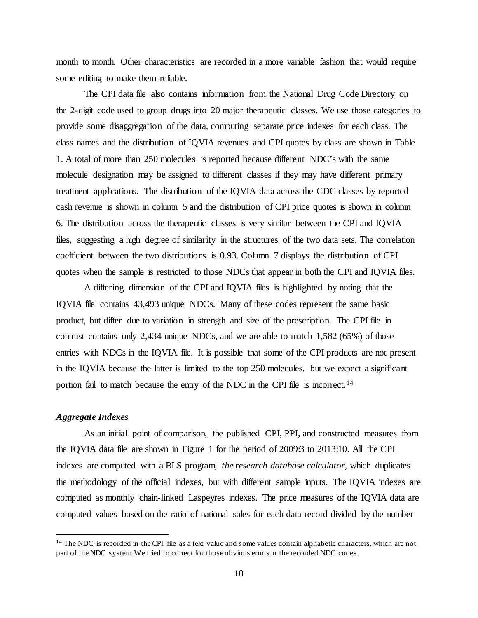month to month. Other characteristics are recorded in a more variable fashion that would require some editing to make them reliable.

The CPI data file also contains information from the National Drug Code Directory on the 2-digit code used to group drugs into 20 major therapeutic classes. We use those categories to provide some disaggregation of the data, computing separate price indexes for each class. The class names and the distribution of IQVIA revenues and CPI quotes by class are shown in Table 1. A total of more than 250 molecules is reported because different NDC's with the same molecule designation may be assigned to different classes if they may have different primary treatment applications. The distribution of the IQVIA data across the CDC classes by reported cash revenue is shown in column 5 and the distribution of CPI price quotes is shown in column 6. The distribution across the therapeutic classes is very similar between the CPI and IQVIA files, suggesting a high degree of similarity in the structures of the two data sets. The correlation coefficient between the two distributions is 0.93. Column 7 displays the distribution of CPI quotes when the sample is restricted to those NDCs that appear in both the CPI and IQVIA files.

A differing dimension of the CPI and IQVIA files is highlighted by noting that the IQVIA file contains 43,493 unique NDCs. Many of these codes represent the same basic product, but differ due to variation in strength and size of the prescription. The CPI file in contrast contains only 2,434 unique NDCs, and we are able to match 1,582 (65%) of those entries with NDCs in the IQVIA file. It is possible that some of the CPI products are not present in the IQVIA because the latter is limited to the top 250 molecules, but we expect a significant portion fail to match because the entry of the NDC in the CPI file is incorrect.[14](#page-10-0)

# *Aggregate Indexes*

As an initial point of comparison, the published CPI, PPI, and constructed measures from the IQVIA data file are shown in Figure 1 for the period of 2009:3 to 2013:10. All the CPI indexes are computed with a BLS program, *the research database calculator*, which duplicates the methodology of the official indexes, but with different sample inputs. The IQVIA indexes are computed as monthly chain-linked Laspeyres indexes. The price measures of the IQVIA data are computed values based on the ratio of national sales for each data record divided by the number

<span id="page-10-0"></span> $14$  The NDC is recorded in the CPI file as a text value and some values contain alphabetic characters, which are not part of the NDC system.We tried to correct for those obvious errors in the recorded NDC codes.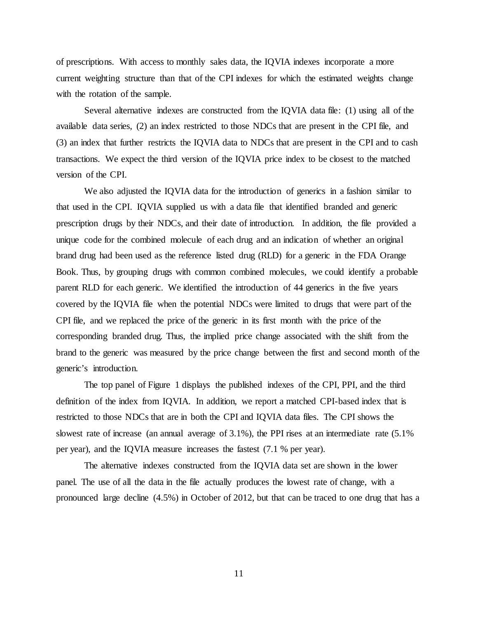of prescriptions. With access to monthly sales data, the IQVIA indexes incorporate a more current weighting structure than that of the CPI indexes for which the estimated weights change with the rotation of the sample.

Several alternative indexes are constructed from the IQVIA data file: (1) using all of the available data series, (2) an index restricted to those NDCs that are present in the CPI file, and (3) an index that further restricts the IQVIA data to NDCs that are present in the CPI and to cash transactions. We expect the third version of the IQVIA price index to be closest to the matched version of the CPI.

We also adjusted the IQVIA data for the introduction of generics in a fashion similar to that used in the CPI. IQVIA supplied us with a data file that identified branded and generic prescription drugs by their NDCs, and their date of introduction. In addition, the file provided a unique code for the combined molecule of each drug and an indication of whether an original brand drug had been used as the reference listed drug (RLD) for a generic in the FDA Orange Book. Thus, by grouping drugs with common combined molecules, we could identify a probable parent RLD for each generic. We identified the introduction of 44 generics in the five years covered by the IQVIA file when the potential NDCs were limited to drugs that were part of the CPI file, and we replaced the price of the generic in its first month with the price of the corresponding branded drug. Thus, the implied price change associated with the shift from the brand to the generic was measured by the price change between the first and second month of the generic's introduction.

The top panel of Figure 1 displays the published indexes of the CPI, PPI, and the third definition of the index from IQVIA. In addition, we report a matched CPI-based index that is restricted to those NDCs that are in both the CPI and IQVIA data files. The CPI shows the slowest rate of increase (an annual average of 3.1%), the PPI rises at an intermediate rate (5.1% per year), and the IQVIA measure increases the fastest (7.1 % per year).

The alternative indexes constructed from the IQVIA data set are shown in the lower panel. The use of all the data in the file actually produces the lowest rate of change, with a pronounced large decline (4.5%) in October of 2012, but that can be traced to one drug that has a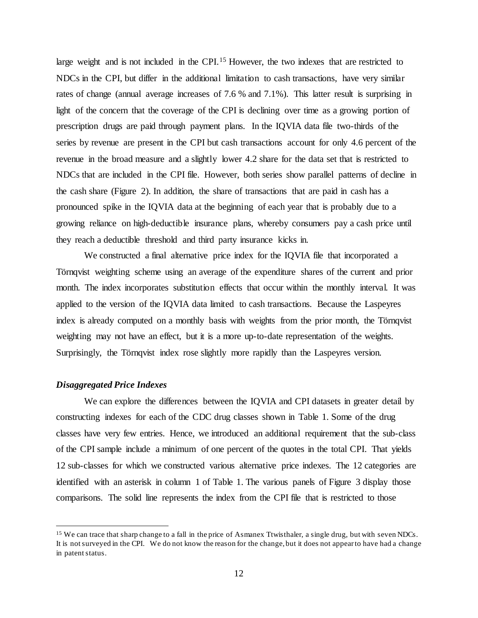large weight and is not included in the CPI.<sup>[15](#page-12-0)</sup> However, the two indexes that are restricted to NDCs in the CPI, but differ in the additional limitation to cash transactions, have very similar rates of change (annual average increases of 7.6 % and 7.1%). This latter result is surprising in light of the concern that the coverage of the CPI is declining over time as a growing portion of prescription drugs are paid through payment plans. In the IQVIA data file two-thirds of the series by revenue are present in the CPI but cash transactions account for only 4.6 percent of the revenue in the broad measure and a slightly lower 4.2 share for the data set that is restricted to NDCs that are included in the CPI file. However, both series show parallel patterns of decline in the cash share (Figure 2). In addition, the share of transactions that are paid in cash has a pronounced spike in the IQVIA data at the beginning of each year that is probably due to a growing reliance on high-deductible insurance plans, whereby consumers pay a cash price until they reach a deductible threshold and third party insurance kicks in.

We constructed a final alternative price index for the IQVIA file that incorporated a Törnqvist weighting scheme using an average of the expenditure shares of the current and prior month. The index incorporates substitution effects that occur within the monthly interval. It was applied to the version of the IQVIA data limited to cash transactions. Because the Laspeyres index is already computed on a monthly basis with weights from the prior month, the Törnqvist weighting may not have an effect, but it is a more up-to-date representation of the weights. Surprisingly, the Törnqvist index rose slightly more rapidly than the Laspeyres version.

#### *Disaggregated Price Indexes*

We can explore the differences between the IQVIA and CPI datasets in greater detail by constructing indexes for each of the CDC drug classes shown in Table 1. Some of the drug classes have very few entries. Hence, we introduced an additional requirement that the sub-class of the CPI sample include a minimum of one percent of the quotes in the total CPI. That yields 12 sub-classes for which we constructed various alternative price indexes. The 12 categories are identified with an asterisk in column 1 of Table 1. The various panels of Figure 3 display those comparisons. The solid line represents the index from the CPI file that is restricted to those

<span id="page-12-0"></span><sup>&</sup>lt;sup>15</sup> We can trace that sharp change to a fall in the price of Asmanex Ttwisthaler, a single drug, but with seven NDCs. It is not surveyed in the CPI. We do not know the reason for the change, but it does not appear to have had a change in patent status.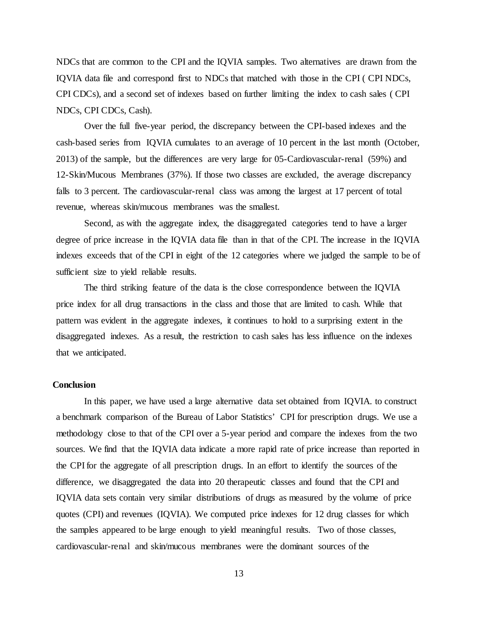NDCs that are common to the CPI and the IQVIA samples. Two alternatives are drawn from the IQVIA data file and correspond first to NDCs that matched with those in the CPI ( CPI NDCs, CPI CDCs), and a second set of indexes based on further limiting the index to cash sales ( CPI NDCs, CPI CDCs, Cash).

Over the full five-year period, the discrepancy between the CPI-based indexes and the cash-based series from IQVIA cumulates to an average of 10 percent in the last month (October, 2013) of the sample, but the differences are very large for 05-Cardiovascular-renal (59%) and 12-Skin/Mucous Membranes (37%). If those two classes are excluded, the average discrepancy falls to 3 percent. The cardiovascular-renal class was among the largest at 17 percent of total revenue, whereas skin/mucous membranes was the smallest.

Second, as with the aggregate index, the disaggregated categories tend to have a larger degree of price increase in the IQVIA data file than in that of the CPI. The increase in the IQVIA indexes exceeds that of the CPI in eight of the 12 categories where we judged the sample to be of sufficient size to yield reliable results.

The third striking feature of the data is the close correspondence between the IQVIA price index for all drug transactions in the class and those that are limited to cash. While that pattern was evident in the aggregate indexes, it continues to hold to a surprising extent in the disaggregated indexes. As a result, the restriction to cash sales has less influence on the indexes that we anticipated.

## **Conclusion**

In this paper, we have used a large alternative data set obtained from IQVIA. to construct a benchmark comparison of the Bureau of Labor Statistics' CPI for prescription drugs. We use a methodology close to that of the CPI over a 5-year period and compare the indexes from the two sources. We find that the IQVIA data indicate a more rapid rate of price increase than reported in the CPI for the aggregate of all prescription drugs. In an effort to identify the sources of the difference, we disaggregated the data into 20 therapeutic classes and found that the CPI and IQVIA data sets contain very similar distributions of drugs as measured by the volume of price quotes (CPI) and revenues (IQVIA). We computed price indexes for 12 drug classes for which the samples appeared to be large enough to yield meaningful results. Two of those classes, cardiovascular-renal and skin/mucous membranes were the dominant sources of the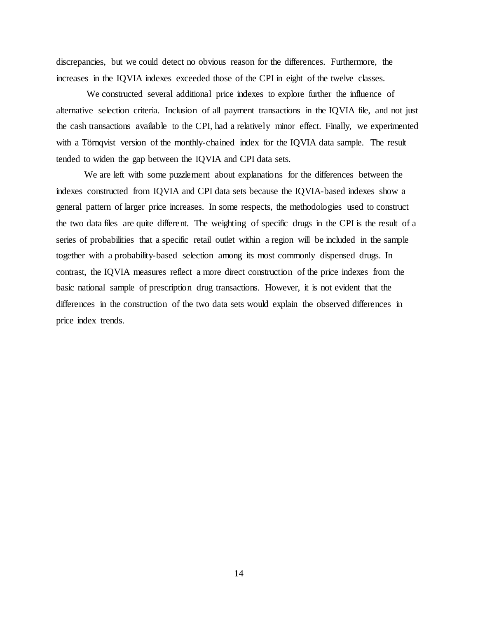discrepancies, but we could detect no obvious reason for the differences. Furthermore, the increases in the IQVIA indexes exceeded those of the CPI in eight of the twelve classes.

We constructed several additional price indexes to explore further the influence of alternative selection criteria. Inclusion of all payment transactions in the IQVIA file, and not just the cash transactions available to the CPI, had a relatively minor effect. Finally, we experimented with a Törnqvist version of the monthly-chained index for the IQVIA data sample. The result tended to widen the gap between the IQVIA and CPI data sets.

We are left with some puzzlement about explanations for the differences between the indexes constructed from IQVIA and CPI data sets because the IQVIA-based indexes show a general pattern of larger price increases. In some respects, the methodologies used to construct the two data files are quite different. The weighting of specific drugs in the CPI is the result of a series of probabilities that a specific retail outlet within a region will be included in the sample together with a probability-based selection among its most commonly dispensed drugs. In contrast, the IQVIA measures reflect a more direct construction of the price indexes from the basic national sample of prescription drug transactions. However, it is not evident that the differences in the construction of the two data sets would explain the observed differences in price index trends.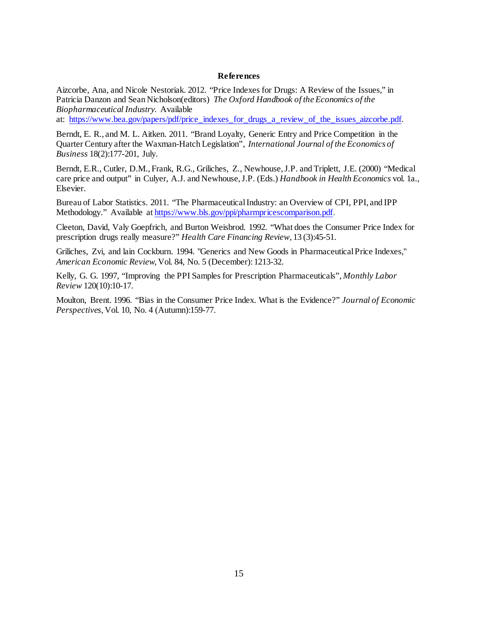#### **References**

Aizcorbe, Ana, and Nicole Nestoriak. 2012. "Price Indexes for Drugs: A Review of the Issues," in Patricia Danzon and Sean Nicholson(editors) *The Oxford Handbook of the Economics of the Biopharmaceutical Industry*. Available

at: [https://www.bea.gov/papers/pdf/price\\_indexes\\_for\\_drugs\\_a\\_review\\_of\\_the\\_issues\\_aizcorbe.pdf.](https://www.bea.gov/papers/pdf/price_indexes_for_drugs_a_review_of_the_issues_aizcorbe.pdf)

Berndt, E. R., and M. L. Aitken. 2011. "Brand Loyalty, Generic Entry and Price Competition in the Quarter Century after the Waxman-Hatch Legislation", *International Journal of the Economics of Business* 18(2):177-201, July.

Berndt, E.R., Cutler, D.M., Frank, R.G., Griliches, Z., Newhouse, J.P. and Triplett, J.E. (2000) "Medical care price and output" in Culyer, A.J. and Newhouse, J.P. (Eds.) *Handbook in Health Economics* vol. 1a., Elsevier.

Bureau of Labor Statistics. 2011. "The Pharmaceutical Industry: an Overview of CPI, PPI, and IPP Methodology." Available at [https://www.bls.gov/ppi/pharmpricescomparison.pdf.](https://www.bls.gov/ppi/pharmpricescomparison.pdf)

Cleeton, David, Valy Goepfrich, and Burton Weisbrod. 1992. "What does the Consumer Price Index for prescription drugs really measure?" *Health Care Financing Review*, 13 (3):45-51.

Griliches, Zvi, and lain Cockburn. 1994. "Generics and New Goods in Pharmaceutical Price Indexes," *American Economic Review*, Vol. 84, No. 5 (December):1213-32.

Kelly, G. G. 1997, "Improving the PPI Samples for Prescription Pharmaceuticals", *Monthly Labor Review* 120(10):10-17.

Moulton, Brent. 1996. "Bias in the Consumer Price Index. What is the Evidence?" *Journal of Economic Perspectives*, Vol. 10, No. 4 (Autumn):159-77.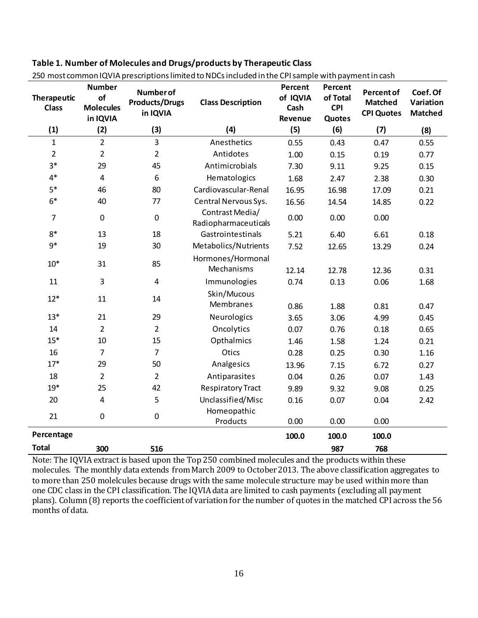| <b>Therapeutic</b><br><b>Class</b> | <b>Number</b><br>of<br><b>Molecules</b><br>in IQVIA | <b>Number of</b><br><b>Products/Drugs</b><br>in IQVIA | <b>Class Description</b>                | Percent<br>of IQVIA<br>Cash<br>Revenue | Percent<br>of Total<br><b>CPI</b><br>Quotes | Percent of<br><b>Matched</b><br><b>CPI Quotes</b> | Coef. Of<br>Variation<br><b>Matched</b> |
|------------------------------------|-----------------------------------------------------|-------------------------------------------------------|-----------------------------------------|----------------------------------------|---------------------------------------------|---------------------------------------------------|-----------------------------------------|
| (1)                                | (2)                                                 | (3)                                                   | (4)                                     | (5)                                    | (6)                                         | (7)                                               | (8)                                     |
| $\mathbf{1}$                       | $\overline{2}$                                      | $\overline{3}$                                        | Anesthetics                             | 0.55                                   | 0.43                                        | 0.47                                              | 0.55                                    |
| $\overline{2}$                     | $\overline{2}$                                      | $\overline{2}$                                        | Antidotes                               | 1.00                                   | 0.15                                        | 0.19                                              | 0.77                                    |
| $3*$                               | 29                                                  | 45                                                    | Antimicrobials                          | 7.30                                   | 9.11                                        | 9.25                                              | 0.15                                    |
| $4*$                               | $\overline{\mathbf{4}}$                             | 6                                                     | Hematologics                            | 1.68                                   | 2.47                                        | 2.38                                              | 0.30                                    |
| $5*$                               | 46                                                  | 80                                                    | Cardiovascular-Renal                    | 16.95                                  | 16.98                                       | 17.09                                             | 0.21                                    |
| $6*$                               | 40                                                  | 77                                                    | Central Nervous Sys.                    | 16.56                                  | 14.54                                       | 14.85                                             | 0.22                                    |
| 7                                  | $\pmb{0}$                                           | $\pmb{0}$                                             | Contrast Media/<br>Radiopharmaceuticals | 0.00                                   | 0.00                                        | 0.00                                              |                                         |
| $8*$                               | 13                                                  | 18                                                    | Gastrointestinals                       | 5.21                                   | 6.40                                        | 6.61                                              | 0.18                                    |
| $9*$                               | 19                                                  | 30                                                    | Metabolics/Nutrients                    | 7.52                                   | 12.65                                       | 13.29                                             | 0.24                                    |
| $10*$                              | 31                                                  | 85                                                    | Hormones/Hormonal<br>Mechanisms         | 12.14                                  | 12.78                                       | 12.36                                             | 0.31                                    |
| 11                                 | 3                                                   | $\overline{\mathbf{4}}$                               | Immunologies                            | 0.74                                   | 0.13                                        | 0.06                                              | 1.68                                    |
| $12*$                              | 11                                                  | 14                                                    | Skin/Mucous<br>Membranes                | 0.86                                   | 1.88                                        | 0.81                                              | 0.47                                    |
| $13*$                              | 21                                                  | 29                                                    | Neurologics                             | 3.65                                   | 3.06                                        | 4.99                                              | 0.45                                    |
| 14                                 | $\overline{2}$                                      | $\overline{2}$                                        | Oncolytics                              | 0.07                                   | 0.76                                        | 0.18                                              | 0.65                                    |
| $15*$                              | 10                                                  | 15                                                    | Opthalmics                              | 1.46                                   | 1.58                                        | 1.24                                              | 0.21                                    |
| 16                                 | $\overline{7}$                                      | $\overline{7}$                                        | Otics                                   | 0.28                                   | 0.25                                        | 0.30                                              | 1.16                                    |
| $17*$                              | 29                                                  | 50                                                    | Analgesics                              | 13.96                                  | 7.15                                        | 6.72                                              | 0.27                                    |
| 18                                 | $\overline{2}$                                      | $\overline{2}$                                        | Antiparasites                           | 0.04                                   | 0.26                                        | 0.07                                              | 1.43                                    |
| $19*$                              | 25                                                  | 42                                                    | <b>Respiratory Tract</b>                | 9.89                                   | 9.32                                        | 9.08                                              | 0.25                                    |
| 20                                 | $\overline{\mathbf{4}}$                             | 5                                                     | Unclassified/Misc                       | 0.16                                   | 0.07                                        | 0.04                                              | 2.42                                    |
| 21                                 | $\pmb{0}$                                           | $\pmb{0}$                                             | Homeopathic<br>Products                 | 0.00                                   | 0.00                                        | 0.00                                              |                                         |
| Percentage                         |                                                     |                                                       |                                         | 100.0                                  | 100.0                                       | 100.0                                             |                                         |
| <b>Total</b>                       | 300                                                 | 516                                                   |                                         |                                        | 987                                         | 768                                               |                                         |

250 most common IQVIA prescriptionslimited to NDCs included in the CPI sample with payment in cash

Note: The IQVIA extract is based upon the Top 250 combined molecules and the products within these molecules. The monthly data extends from March 2009 to October 2013. The above classification aggregates to to more than 250 molelcules because drugs with the same molecule structure may be used within more than one CDC class in the CPI classification. The IQVIA data are limited to cash payments (excluding all payment plans). Column (8) reports the coefficient of variation for the number of quotes in the matched CPI across the 56 months of data.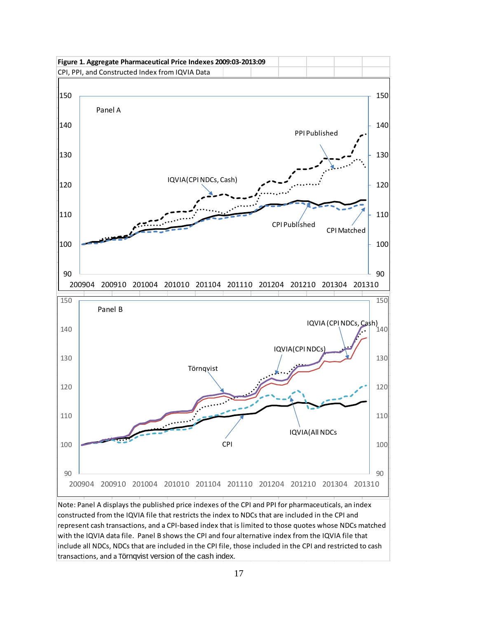

Note: Panel A displays the published price indexes of the CPI and PPI for pharmaceuticals, an index constructed from the IQVIA file that restricts the index to NDCs that are included in the CPI and represent cash transactions, and a CPI-based index that is limited to those quotes whose NDCs matched with the IQVIA data file. Panel B shows the CPI and four alternative index from the IQVIA file that include all NDCs, NDCs that are included in the CPI file, those included in the CPI and restricted to cash transactions, and a Törnqvist version of the cash index.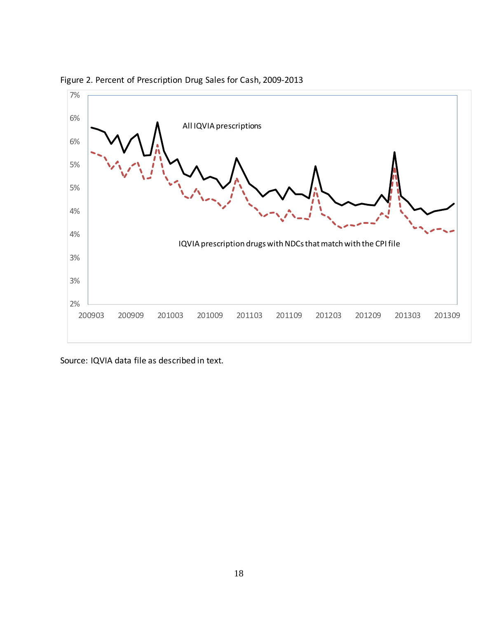

Figure 2. Percent of Prescription Drug Sales for Cash, 2009-2013

Source: IQVIA data file as described in text.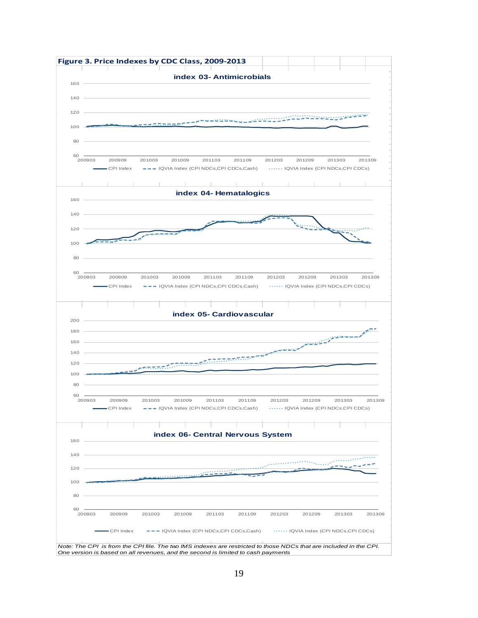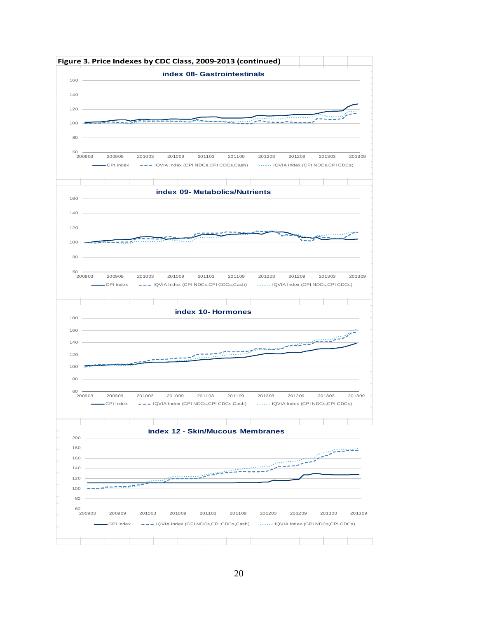